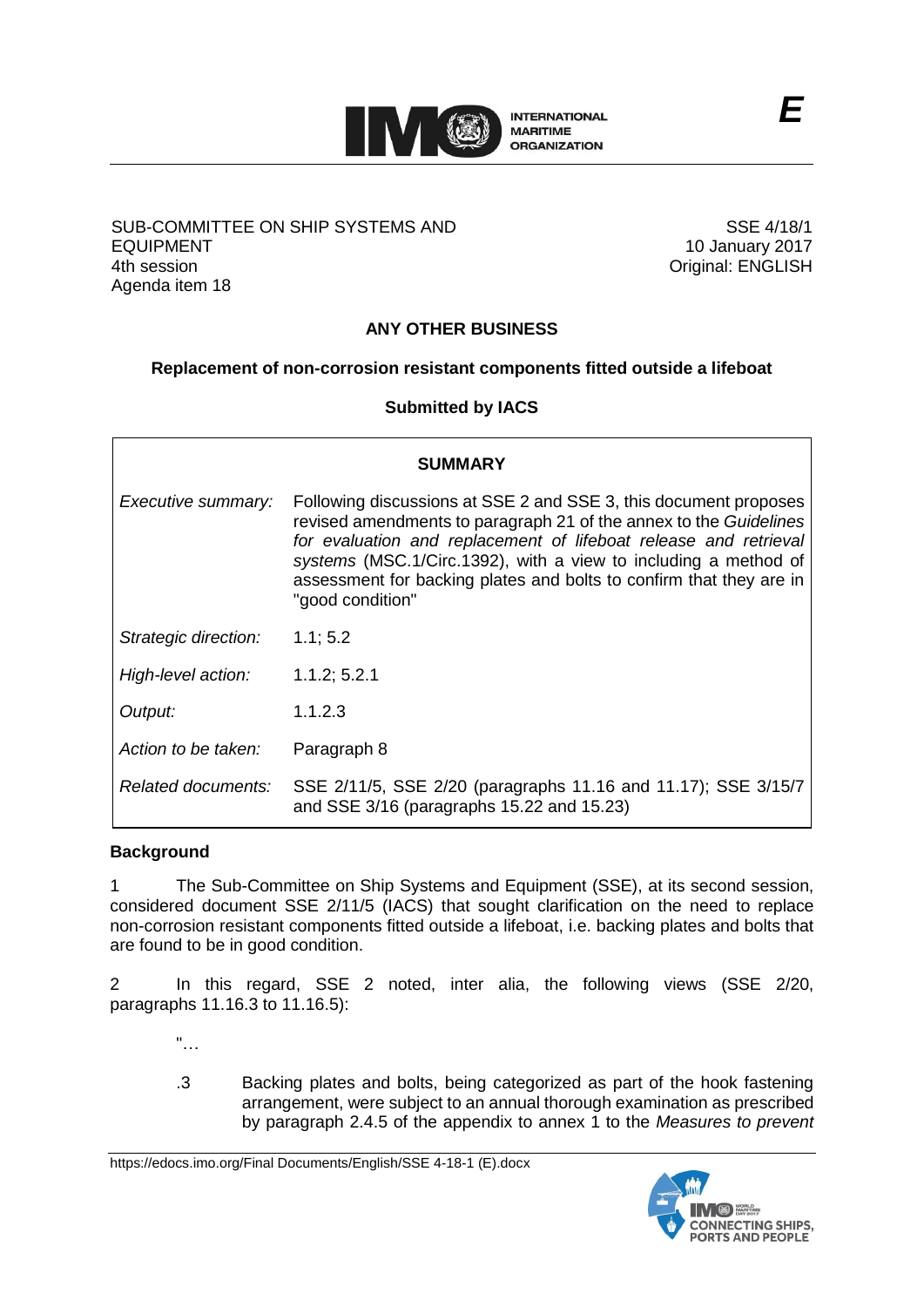

### SUB-COMMITTEE ON SHIP SYSTEMS AND EQUIPMENT 4th session Agenda item 18

SSE 4/18/1 10 January 2017 Original: ENGLISH

# **ANY OTHER BUSINESS**

## **Replacement of non-corrosion resistant components fitted outside a lifeboat**

### **Submitted by IACS**

| <b>SUMMARY</b>       |                                                                                                                                                                                                                                                                                                                                                                         |
|----------------------|-------------------------------------------------------------------------------------------------------------------------------------------------------------------------------------------------------------------------------------------------------------------------------------------------------------------------------------------------------------------------|
| Executive summary:   | Following discussions at SSE 2 and SSE 3, this document proposes<br>revised amendments to paragraph 21 of the annex to the Guidelines<br>for evaluation and replacement of lifeboat release and retrieval<br>systems (MSC.1/Circ.1392), with a view to including a method of<br>assessment for backing plates and bolts to confirm that they are in<br>"good condition" |
| Strategic direction: | 1.1; 5.2                                                                                                                                                                                                                                                                                                                                                                |
| High-level action:   | 1.1.2; 5.2.1                                                                                                                                                                                                                                                                                                                                                            |
| Output:              | 1.1.2.3                                                                                                                                                                                                                                                                                                                                                                 |
| Action to be taken:  | Paragraph 8                                                                                                                                                                                                                                                                                                                                                             |
| Related documents:   | SSE 2/11/5, SSE 2/20 (paragraphs 11.16 and 11.17); SSE 3/15/7<br>and SSE 3/16 (paragraphs 15.22 and 15.23)                                                                                                                                                                                                                                                              |

#### **Background**

1 The Sub-Committee on Ship Systems and Equipment (SSE), at its second session, considered document SSE 2/11/5 (IACS) that sought clarification on the need to replace non-corrosion resistant components fitted outside a lifeboat, i.e. backing plates and bolts that are found to be in good condition.

2 In this regard, SSE 2 noted, inter alia, the following views (SSE 2/20, paragraphs 11.16.3 to 11.16.5):

- "…
- .3 Backing plates and bolts, being categorized as part of the hook fastening arrangement, were subject to an annual thorough examination as prescribed by paragraph 2.4.5 of the appendix to annex 1 to the *Measures to prevent*

https://edocs.imo.org/Final Documents/English/SSE 4-18-1 (E).docx

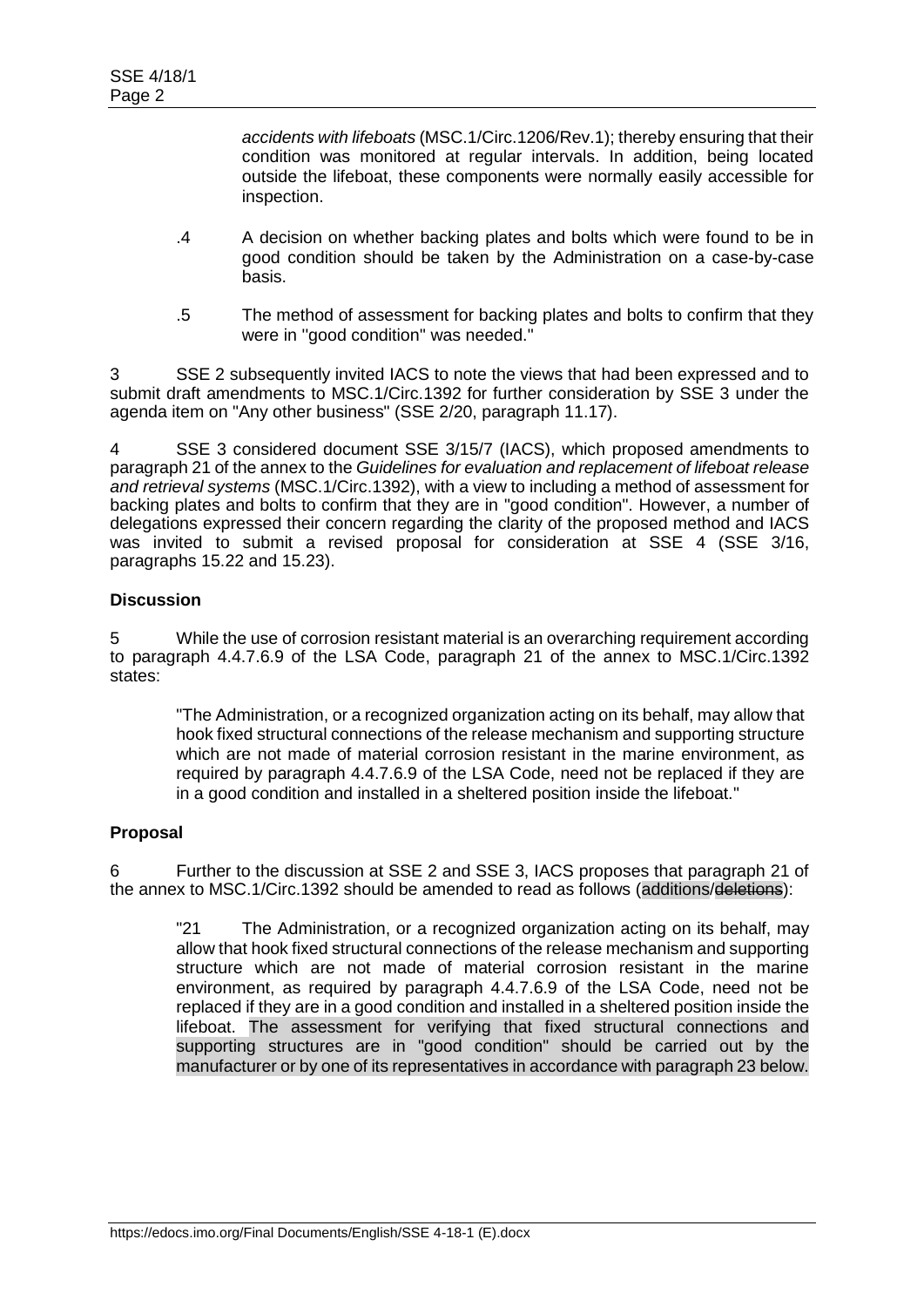*accidents with lifeboats* (MSC.1/Circ.1206/Rev.1); thereby ensuring that their condition was monitored at regular intervals. In addition, being located outside the lifeboat, these components were normally easily accessible for inspection.

- .4 A decision on whether backing plates and bolts which were found to be in good condition should be taken by the Administration on a case-by-case basis.
- .5 The method of assessment for backing plates and bolts to confirm that they were in ''good condition'' was needed."

3 SSE 2 subsequently invited IACS to note the views that had been expressed and to submit draft amendments to MSC.1/Circ.1392 for further consideration by SSE 3 under the agenda item on "Any other business" (SSE 2/20, paragraph 11.17).

4 SSE 3 considered document SSE 3/15/7 (IACS), which proposed amendments to paragraph 21 of the annex to the *Guidelines for evaluation and replacement of lifeboat release and retrieval systems* (MSC.1/Circ.1392), with a view to including a method of assessment for backing plates and bolts to confirm that they are in "good condition". However, a number of delegations expressed their concern regarding the clarity of the proposed method and IACS was invited to submit a revised proposal for consideration at SSE 4 (SSE 3/16, paragraphs 15.22 and 15.23).

## **Discussion**

5 While the use of corrosion resistant material is an overarching requirement according to paragraph 4.4.7.6.9 of the LSA Code, paragraph 21 of the annex to MSC.1/Circ.1392 states:

"The Administration, or a recognized organization acting on its behalf, may allow that hook fixed structural connections of the release mechanism and supporting structure which are not made of material corrosion resistant in the marine environment, as required by paragraph 4.4.7.6.9 of the LSA Code, need not be replaced if they are in a good condition and installed in a sheltered position inside the lifeboat."

# **Proposal**

6 Further to the discussion at SSE 2 and SSE 3, IACS proposes that paragraph 21 of the annex to MSC.1/Circ.1392 should be amended to read as follows (additions/deletions):

"21 The Administration, or a recognized organization acting on its behalf, may allow that hook fixed structural connections of the release mechanism and supporting structure which are not made of material corrosion resistant in the marine environment, as required by paragraph 4.4.7.6.9 of the LSA Code, need not be replaced if they are in a good condition and installed in a sheltered position inside the lifeboat. The assessment for verifying that fixed structural connections and supporting structures are in "good condition" should be carried out by the manufacturer or by one of its representatives in accordance with paragraph 23 below.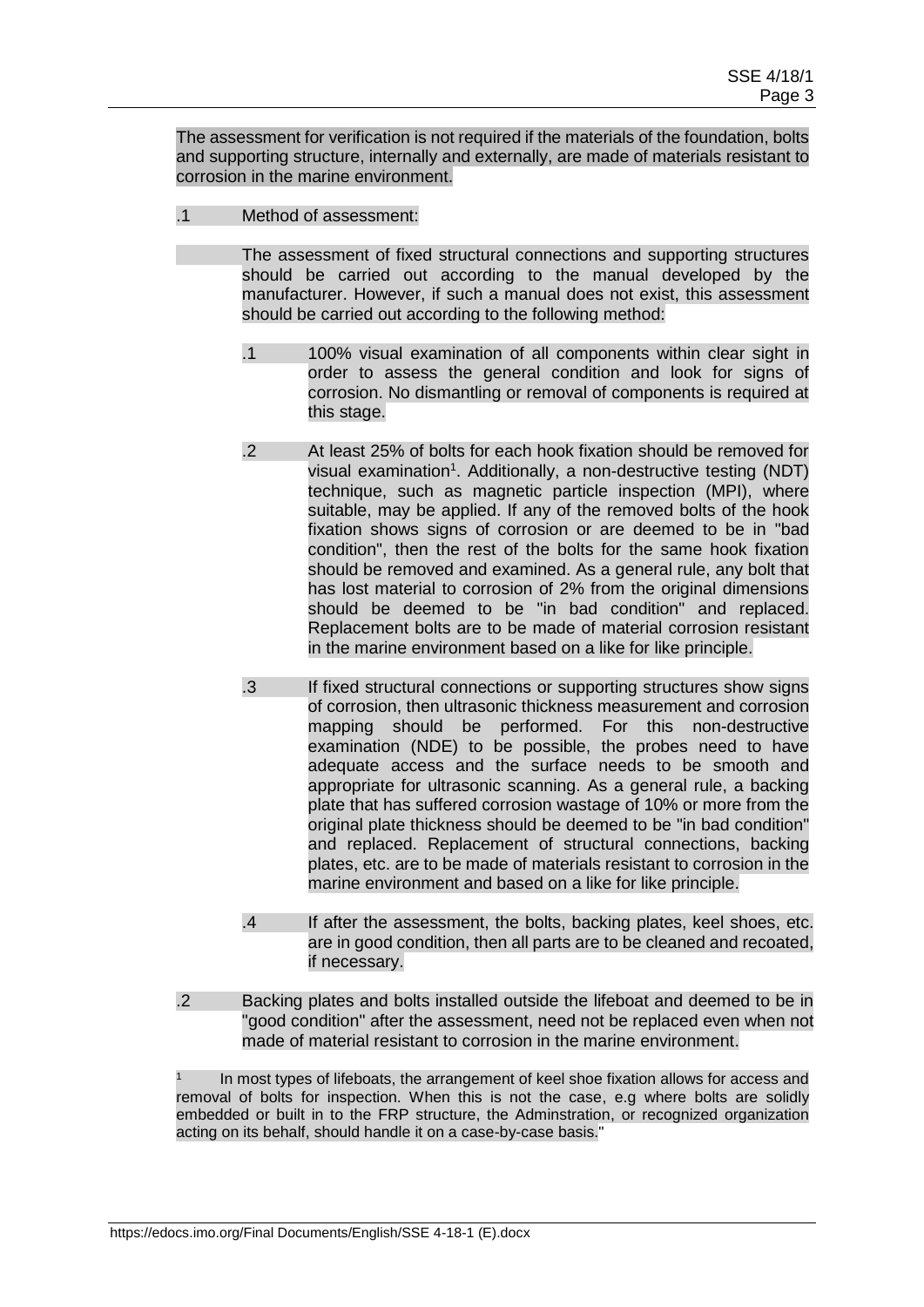The assessment for verification is not required if the materials of the foundation, bolts and supporting structure, internally and externally, are made of materials resistant to corrosion in the marine environment.

.1 Method of assessment:

The assessment of fixed structural connections and supporting structures should be carried out according to the manual developed by the manufacturer. However, if such a manual does not exist, this assessment should be carried out according to the following method:

- .1 100% visual examination of all components within clear sight in order to assess the general condition and look for signs of corrosion. No dismantling or removal of components is required at this stage.
- .2 At least 25% of bolts for each hook fixation should be removed for visual examination<sup>1</sup>. Additionally, a non-destructive testing (NDT) technique, such as magnetic particle inspection (MPI), where suitable, may be applied. If any of the removed bolts of the hook fixation shows signs of corrosion or are deemed to be in "bad condition", then the rest of the bolts for the same hook fixation should be removed and examined. As a general rule, any bolt that has lost material to corrosion of 2% from the original dimensions should be deemed to be "in bad condition" and replaced. Replacement bolts are to be made of material corrosion resistant in the marine environment based on a like for like principle.
- .3 If fixed structural connections or supporting structures show signs of corrosion, then ultrasonic thickness measurement and corrosion mapping should be performed. For this non-destructive examination (NDE) to be possible, the probes need to have adequate access and the surface needs to be smooth and appropriate for ultrasonic scanning. As a general rule, a backing plate that has suffered corrosion wastage of 10% or more from the original plate thickness should be deemed to be "in bad condition" and replaced. Replacement of structural connections, backing plates, etc. are to be made of materials resistant to corrosion in the marine environment and based on a like for like principle.
- .4 If after the assessment, the bolts, backing plates, keel shoes, etc. are in good condition, then all parts are to be cleaned and recoated, if necessary.
- .2 Backing plates and bolts installed outside the lifeboat and deemed to be in "good condition" after the assessment, need not be replaced even when not made of material resistant to corrosion in the marine environment.

In most types of lifeboats, the arrangement of keel shoe fixation allows for access and removal of bolts for inspection. When this is not the case, e.g where bolts are solidly embedded or built in to the FRP structure, the Adminstration, or recognized organization acting on its behalf, should handle it on a case-by-case basis."